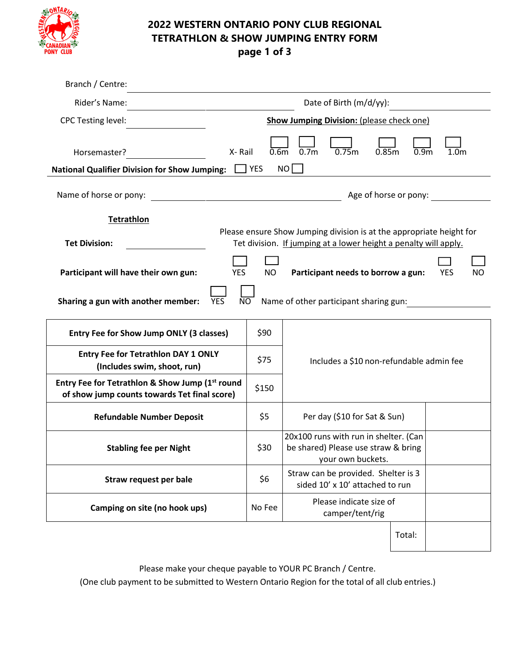

## **2022 WESTERN ONTARIO PONY CLUB REGIONAL TETRATHLON & SHOW JUMPING ENTRY FORM**

**page 1 of 3**

| Branch / Centre:                                                                                             |                                                                                                                                          |                                |                                            |                                                                                                   |       |                       |                  |           |  |
|--------------------------------------------------------------------------------------------------------------|------------------------------------------------------------------------------------------------------------------------------------------|--------------------------------|--------------------------------------------|---------------------------------------------------------------------------------------------------|-------|-----------------------|------------------|-----------|--|
| Rider's Name:                                                                                                |                                                                                                                                          |                                | Date of Birth (m/d/yy):                    |                                                                                                   |       |                       |                  |           |  |
| <b>CPC Testing level:</b>                                                                                    | <b>Show Jumping Division: (please check one)</b>                                                                                         |                                |                                            |                                                                                                   |       |                       |                  |           |  |
| Horsemaster?<br><b>National Qualifier Division for Show Jumping:</b>                                         | X-Rail                                                                                                                                   | 0.6 <sub>m</sub><br><b>YES</b> | 0.7 <sub>m</sub><br>NO                     | 0.75m                                                                                             | 0.85m | 0.9 <sub>m</sub>      | 1.0 <sub>m</sub> |           |  |
| Name of horse or pony:                                                                                       |                                                                                                                                          |                                |                                            |                                                                                                   |       | Age of horse or pony: |                  |           |  |
| <b>Tetrathlon</b>                                                                                            |                                                                                                                                          |                                |                                            |                                                                                                   |       |                       |                  |           |  |
| <b>Tet Division:</b>                                                                                         | Please ensure Show Jumping division is at the appropriate height for<br>Tet division. If jumping at a lower height a penalty will apply. |                                |                                            |                                                                                                   |       |                       |                  |           |  |
| Participant will have their own gun:                                                                         | <b>YES</b>                                                                                                                               | <b>NO</b>                      |                                            | Participant needs to borrow a gun:                                                                |       |                       | <b>YES</b>       | <b>NO</b> |  |
| Sharing a gun with another member:<br><b>YES</b><br>N <sub>O</sub><br>Name of other participant sharing gun: |                                                                                                                                          |                                |                                            |                                                                                                   |       |                       |                  |           |  |
| Entry Fee for Show Jump ONLY (3 classes)                                                                     |                                                                                                                                          | \$90                           |                                            |                                                                                                   |       |                       |                  |           |  |
| <b>Entry Fee for Tetrathlon DAY 1 ONLY</b><br>(Includes swim, shoot, run)                                    |                                                                                                                                          | \$75                           | Includes a \$10 non-refundable admin fee   |                                                                                                   |       |                       |                  |           |  |
| Entry Fee for Tetrathlon & Show Jump (1st round<br>of show jump counts towards Tet final score)              |                                                                                                                                          | \$150                          |                                            |                                                                                                   |       |                       |                  |           |  |
| <b>Refundable Number Deposit</b>                                                                             |                                                                                                                                          | \$5                            | Per day (\$10 for Sat & Sun)               |                                                                                                   |       |                       |                  |           |  |
| <b>Stabling fee per Night</b>                                                                                |                                                                                                                                          | \$30                           |                                            | 20x100 runs with run in shelter. (Can<br>be shared) Please use straw & bring<br>your own buckets. |       |                       |                  |           |  |
| Straw request per bale                                                                                       |                                                                                                                                          | \$6                            |                                            | Straw can be provided. Shelter is 3<br>sided 10' x 10' attached to run                            |       |                       |                  |           |  |
| Camping on site (no hook ups)                                                                                |                                                                                                                                          | No Fee                         | Please indicate size of<br>camper/tent/rig |                                                                                                   |       |                       |                  |           |  |
|                                                                                                              |                                                                                                                                          |                                |                                            |                                                                                                   |       | Total:                |                  |           |  |

Please make your cheque payable to YOUR PC Branch / Centre.

(One club payment to be submitted to Western Ontario Region for the total of all club entries.)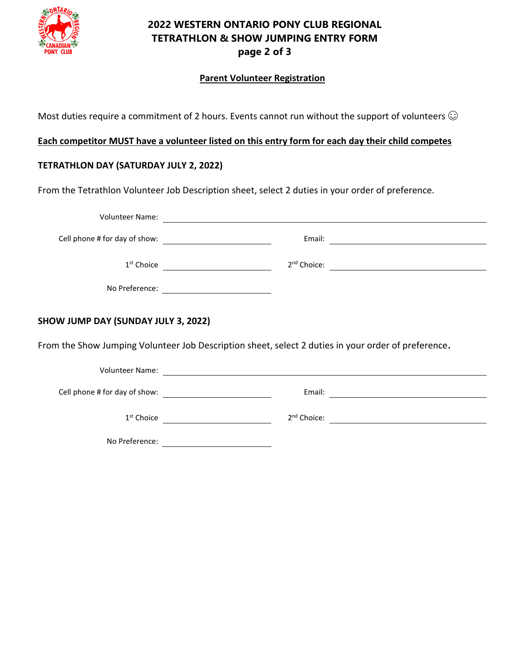

## **2022 WESTERN ONTARIO PONY CLUB REGIONAL TETRATHLON & SHOW JUMPING ENTRY FORM page 2 of 3**

#### **Parent Volunteer Registration**

Most duties require a commitment of 2 hours. Events cannot run without the support of volunteers  $\odot$ 

### **Each competitor MUST have a volunteer listed on this entry form for each day their child competes**

### **TETRATHLON DAY (SATURDAY JULY 2, 2022)**

From the Tetrathlon Volunteer Job Description sheet, select 2 duties in your order of preference.

|                                                                                                     | Cell phone # for day of show: |                                                                                                                           |  |  |  |  |  |
|-----------------------------------------------------------------------------------------------------|-------------------------------|---------------------------------------------------------------------------------------------------------------------------|--|--|--|--|--|
|                                                                                                     |                               | 2 <sup>nd</sup> Choice:                                                                                                   |  |  |  |  |  |
|                                                                                                     |                               |                                                                                                                           |  |  |  |  |  |
| <b>SHOW JUMP DAY (SUNDAY JULY 3, 2022)</b>                                                          |                               |                                                                                                                           |  |  |  |  |  |
| From the Show Jumping Volunteer Job Description sheet, select 2 duties in your order of preference. |                               |                                                                                                                           |  |  |  |  |  |
|                                                                                                     |                               |                                                                                                                           |  |  |  |  |  |
|                                                                                                     |                               | Email:<br>the contract of the contract of the contract of the contract of the contract of the contract of the contract of |  |  |  |  |  |
|                                                                                                     |                               |                                                                                                                           |  |  |  |  |  |

nd Choice:

1 st Choice 2

No Preference: